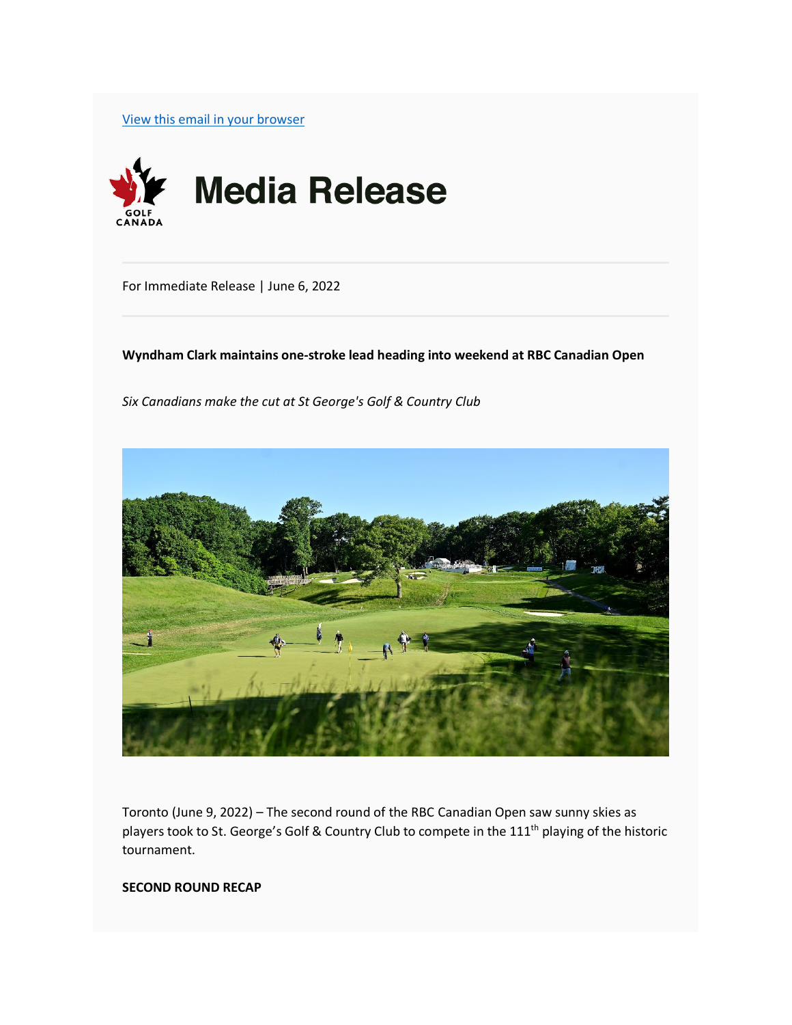[View this email in your browser](https://mailchi.mp/golfcanada/wyndham-clark-maintains-one-stroke-lead-heading-into-weekend-at-rbc-canadian-open?e=73a37d8096)



For Immediate Release | June 6, 2022

**Wyndham Clark maintains one-stroke lead heading into weekend at RBC Canadian Open**

*Six Canadians make the cut at St George's Golf & Country Club*



Toronto (June 9, 2022) – The second round of the RBC Canadian Open saw sunny skies as players took to St. George's Golf & Country Club to compete in the 111<sup>th</sup> playing of the historic tournament.

#### **SECOND ROUND RECAP**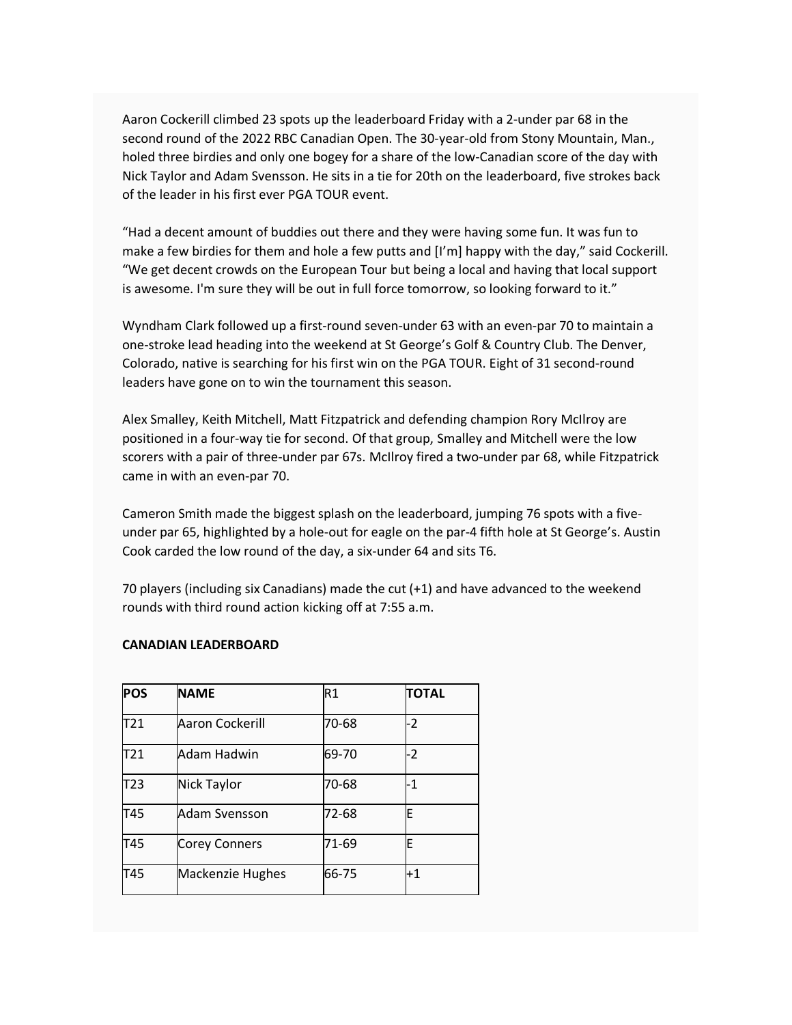Aaron Cockerill climbed 23 spots up the leaderboard Friday with a 2-under par 68 in the second round of the 2022 RBC Canadian Open. The 30-year-old from Stony Mountain, Man., holed three birdies and only one bogey for a share of the low-Canadian score of the day with Nick Taylor and Adam Svensson. He sits in a tie for 20th on the leaderboard, five strokes back of the leader in his first ever PGA TOUR event.

"Had a decent amount of buddies out there and they were having some fun. It was fun to make a few birdies for them and hole a few putts and [I'm] happy with the day," said Cockerill. "We get decent crowds on the European Tour but being a local and having that local support is awesome. I'm sure they will be out in full force tomorrow, so looking forward to it."

Wyndham Clark followed up a first-round seven-under 63 with an even-par 70 to maintain a one-stroke lead heading into the weekend at St George's Golf & Country Club. The Denver, Colorado, native is searching for his first win on the PGA TOUR. Eight of 31 second-round leaders have gone on to win the tournament this season.

Alex Smalley, Keith Mitchell, Matt Fitzpatrick and defending champion Rory McIlroy are positioned in a four-way tie for second. Of that group, Smalley and Mitchell were the low scorers with a pair of three-under par 67s. McIlroy fired a two-under par 68, while Fitzpatrick came in with an even-par 70.

Cameron Smith made the biggest splash on the leaderboard, jumping 76 spots with a fiveunder par 65, highlighted by a hole-out for eagle on the par-4 fifth hole at St George's. Austin Cook carded the low round of the day, a six-under 64 and sits T6.

70 players (including six Canadians) made the cut (+1) and have advanced to the weekend rounds with third round action kicking off at 7:55 a.m.

### **CANADIAN LEADERBOARD**

| <b>POS</b>      | <b>NAME</b>        | R1    | <b>TOTAL</b> |
|-----------------|--------------------|-------|--------------|
| T21             | Aaron Cockerill    | 70-68 | -2           |
| T21             | Adam Hadwin        | 69-70 | -2           |
| T <sub>23</sub> | <b>Nick Taylor</b> | 70-68 | -1           |
| T45             | Adam Svensson      | 72-68 | E            |
| T45             | Corey Conners      | 71-69 | E            |
| T45             | Mackenzie Hughes   | 66-75 | $+1$         |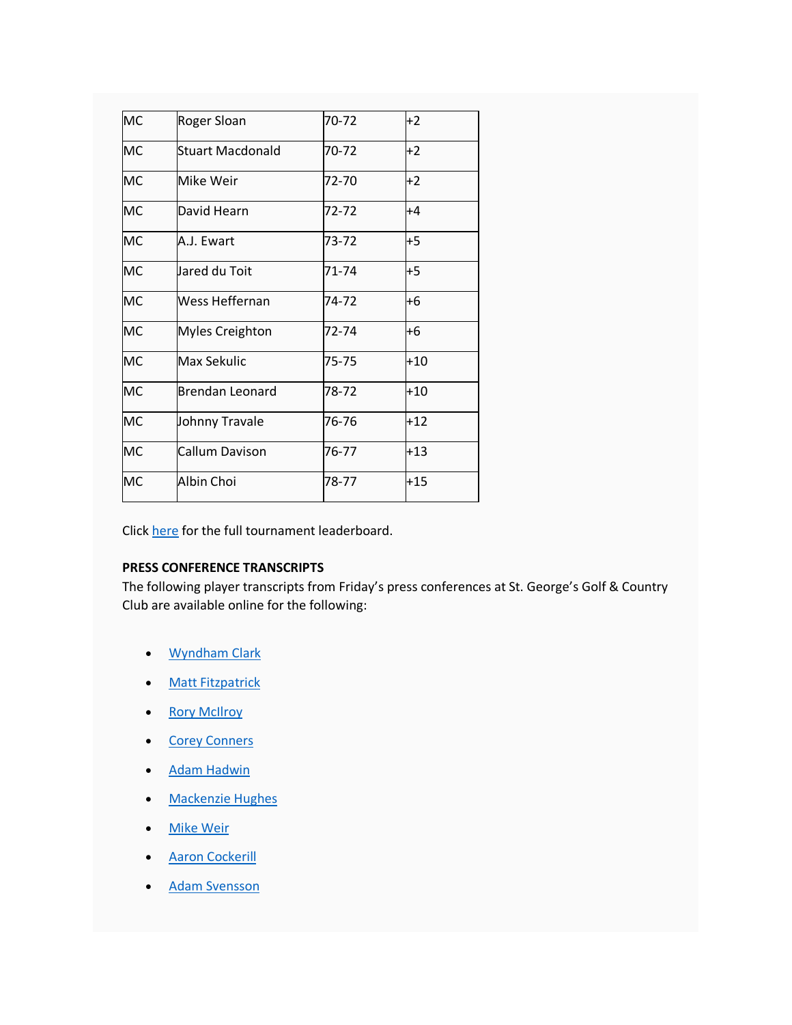| <b>MC</b> | Roger Sloan            | 70-72 | $+2$  |
|-----------|------------------------|-------|-------|
| МC        | Stuart Macdonald       | 70-72 | $+2$  |
| MC        | Mike Weir              | 72-70 | $+2$  |
| <b>MC</b> | David Hearn            | 72-72 | $+4$  |
| <b>MC</b> | A.J. Ewart             | 73-72 | +5    |
| <b>MC</b> | Jared du Toit          | 71-74 | $+5$  |
| MC        | Wess Heffernan         | 74-72 | +6    |
| <b>MC</b> | <b>Myles Creighton</b> | 72-74 | +6    |
| <b>MC</b> | Max Sekulic            | 75-75 | $+10$ |
| <b>MC</b> | <b>Brendan Leonard</b> | 78-72 | $+10$ |
| <b>MC</b> | Johnny Travale         | 76-76 | $+12$ |
| <b>MC</b> | Callum Davison         | 76-77 | $+13$ |
| <b>MC</b> | Albin Choi             | 78-77 | $+15$ |

Click [here](https://golfcanada.us6.list-manage.com/track/click?u=2d5091f846f3023c263bbdbec&id=07ec34395c&e=73a37d8096) for the full tournament leaderboard.

### **PRESS CONFERENCE TRANSCRIPTS**

The following player transcripts from Friday's press conferences at St. George's Golf & Country Club are available online for the following:

- [Wyndham Clark](https://golfcanada.us6.list-manage.com/track/click?u=2d5091f846f3023c263bbdbec&id=a6734055d2&e=73a37d8096)
- **[Matt Fitzpatrick](https://golfcanada.us6.list-manage.com/track/click?u=2d5091f846f3023c263bbdbec&id=1fe71443b8&e=73a37d8096)**
- [Rory McIlroy](https://golfcanada.us6.list-manage.com/track/click?u=2d5091f846f3023c263bbdbec&id=da925b69cc&e=73a37d8096)
- **[Corey Conners](https://golfcanada.us6.list-manage.com/track/click?u=2d5091f846f3023c263bbdbec&id=598975efc4&e=73a37d8096)**
- [Adam Hadwin](https://golfcanada.us6.list-manage.com/track/click?u=2d5091f846f3023c263bbdbec&id=b1c91b2b82&e=73a37d8096)
- [Mackenzie Hughes](https://golfcanada.us6.list-manage.com/track/click?u=2d5091f846f3023c263bbdbec&id=6838bcf4ba&e=73a37d8096)
- [Mike Weir](https://golfcanada.us6.list-manage.com/track/click?u=2d5091f846f3023c263bbdbec&id=e7cdc5946c&e=73a37d8096)
- [Aaron Cockerill](https://golfcanada.us6.list-manage.com/track/click?u=2d5091f846f3023c263bbdbec&id=dba9fc1d28&e=73a37d8096)
- [Adam Svensson](https://golfcanada.us6.list-manage.com/track/click?u=2d5091f846f3023c263bbdbec&id=b33613cd32&e=73a37d8096)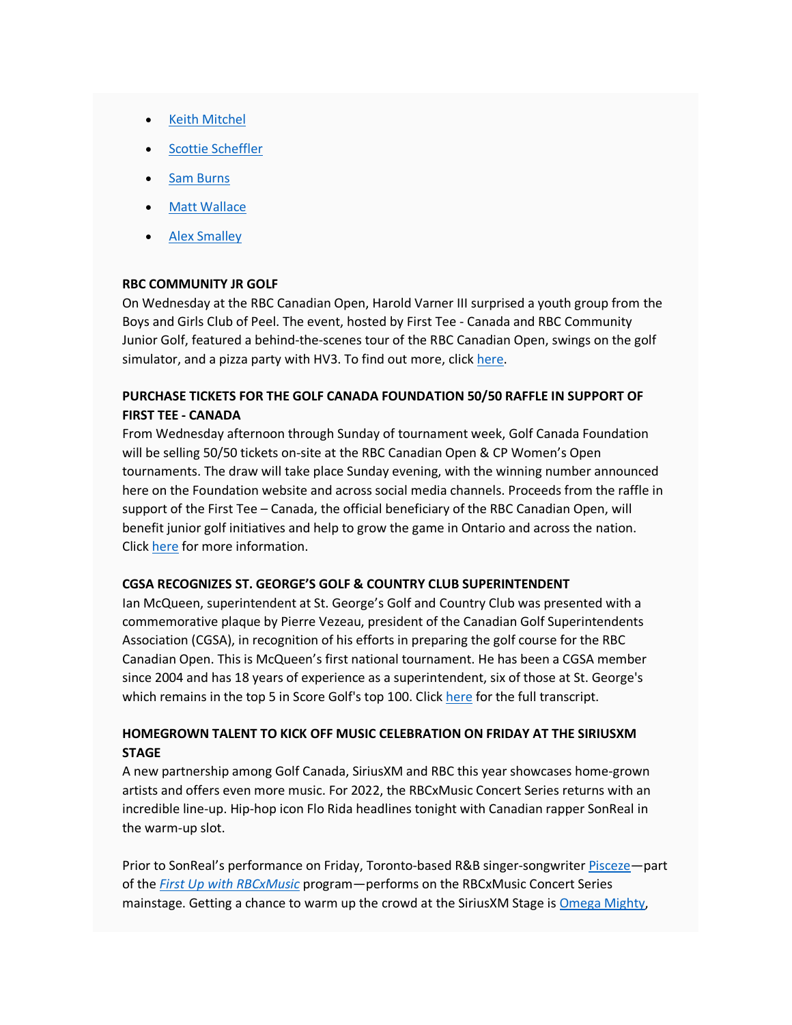- **[Keith Mitchel](https://golfcanada.us6.list-manage.com/track/click?u=2d5091f846f3023c263bbdbec&id=9278c42254&e=73a37d8096)**
- **[Scottie Scheffler](https://golfcanada.us6.list-manage.com/track/click?u=2d5091f846f3023c263bbdbec&id=edcf88de1b&e=73a37d8096)**
- **[Sam Burns](https://golfcanada.us6.list-manage.com/track/click?u=2d5091f846f3023c263bbdbec&id=bdda266e70&e=73a37d8096)**
- **[Matt Wallace](https://golfcanada.us6.list-manage.com/track/click?u=2d5091f846f3023c263bbdbec&id=f09a7930b2&e=73a37d8096)**
- [Alex Smalley](https://golfcanada.us6.list-manage.com/track/click?u=2d5091f846f3023c263bbdbec&id=04bc29fb83&e=73a37d8096)

### **RBC COMMUNITY JR GOLF**

On Wednesday at the RBC Canadian Open, Harold Varner III surprised a youth group from the Boys and Girls Club of Peel. The event, hosted by First Tee - Canada and RBC Community Junior Golf, featured a behind-the-scenes tour of the RBC Canadian Open, swings on the golf simulator, and a pizza party with HV3. To find out more, click [here.](https://golfcanada.us6.list-manage.com/track/click?u=2d5091f846f3023c263bbdbec&id=3e78d5a11c&e=73a37d8096)

# **PURCHASE TICKETS FOR THE GOLF CANADA FOUNDATION 50/50 RAFFLE IN SUPPORT OF FIRST TEE - CANADA**

From Wednesday afternoon through Sunday of tournament week, Golf Canada Foundation will be selling 50/50 tickets on-site at the RBC Canadian Open & CP Women's Open tournaments. The draw will take place Sunday evening, with the winning number announced here on the Foundation website and across social media channels. Proceeds from the raffle in support of the First Tee – Canada, the official beneficiary of the RBC Canadian Open, will benefit junior golf initiatives and help to grow the game in Ontario and across the nation. Click [here](https://golfcanada.us6.list-manage.com/track/click?u=2d5091f846f3023c263bbdbec&id=fdf87e5240&e=73a37d8096) for more information.

### **CGSA RECOGNIZES ST. GEORGE'S GOLF & COUNTRY CLUB SUPERINTENDENT**

Ian McQueen, superintendent at St. George's Golf and Country Club was presented with a commemorative plaque by Pierre Vezeau, president of the Canadian Golf Superintendents Association (CGSA), in recognition of his efforts in preparing the golf course for the RBC Canadian Open. This is McQueen's first national tournament. He has been a CGSA member since 2004 and has 18 years of experience as a superintendent, six of those at St. George's which remains in the top 5 in Score Golf's top 100. Click [here](https://golfcanada.us6.list-manage.com/track/click?u=2d5091f846f3023c263bbdbec&id=aa1b8e6fcb&e=73a37d8096) for the full transcript.

# **HOMEGROWN TALENT TO KICK OFF MUSIC CELEBRATION ON FRIDAY AT THE SIRIUSXM STAGE**

A new partnership among Golf Canada, SiriusXM and RBC this year showcases home-grown artists and offers even more music. For 2022, the RBCxMusic Concert Series returns with an incredible line-up. Hip-hop icon Flo Rida headlines tonight with Canadian rapper SonReal in the warm-up slot.

Prior to SonReal's performance on Friday, Toronto-based R&B singer-songwriter [Pisceze—](https://golfcanada.us6.list-manage.com/track/click?u=2d5091f846f3023c263bbdbec&id=7de297a0fd&e=73a37d8096)part of the *[First Up with RBCxMusic](https://golfcanada.us6.list-manage.com/track/click?u=2d5091f846f3023c263bbdbec&id=e3a90eac2a&e=73a37d8096)* program—performs on the RBCxMusic Concert Series mainstage. Getting a chance to warm up the crowd at the SiriusXM Stage is [Omega Mighty,](https://golfcanada.us6.list-manage.com/track/click?u=2d5091f846f3023c263bbdbec&id=d9de90f6dc&e=73a37d8096)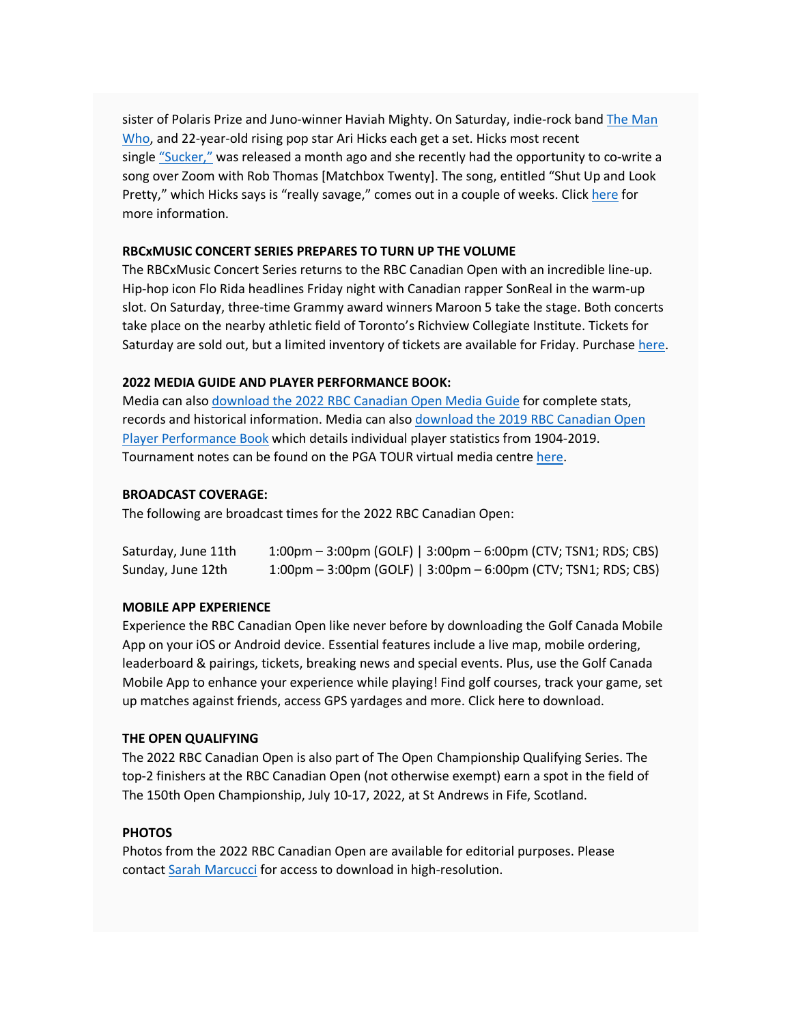sister of Polaris Prize and Juno-winner Haviah Mighty. On Saturday, indie-rock band [The Man](https://golfcanada.us6.list-manage.com/track/click?u=2d5091f846f3023c263bbdbec&id=6229e463c0&e=73a37d8096)  [Who,](https://golfcanada.us6.list-manage.com/track/click?u=2d5091f846f3023c263bbdbec&id=6229e463c0&e=73a37d8096) and 22-year-old rising pop star Ari Hicks each get a set. Hicks most recent single ["Sucker,"](https://golfcanada.us6.list-manage.com/track/click?u=2d5091f846f3023c263bbdbec&id=bb7b30b612&e=73a37d8096) was released a month ago and she recently had the opportunity to co-write a song over Zoom with Rob Thomas [Matchbox Twenty]. The song, entitled "Shut Up and Look Pretty," which Hicks says is "really savage," comes out in a couple of weeks. Click [here](https://golfcanada.us6.list-manage.com/track/click?u=2d5091f846f3023c263bbdbec&id=6060c89869&e=73a37d8096) for more information.

#### **RBCxMUSIC CONCERT SERIES PREPARES TO TURN UP THE VOLUME**

The RBCxMusic Concert Series returns to the RBC Canadian Open with an incredible line-up. Hip-hop icon Flo Rida headlines Friday night with Canadian rapper SonReal in the warm-up slot. On Saturday, three-time Grammy award winners Maroon 5 take the stage. Both concerts take place on the nearby athletic field of Toronto's Richview Collegiate Institute. Tickets for Saturday are sold out, but a limited inventory of tickets are available for Friday. Purchase [here.](https://golfcanada.us6.list-manage.com/track/click?u=2d5091f846f3023c263bbdbec&id=1db6fa878f&e=73a37d8096) 

### **2022 MEDIA GUIDE AND PLAYER PERFORMANCE BOOK:**

Media can also [download the 2022 RBC Canadian Open Media Guide](https://golfcanada.us6.list-manage.com/track/click?u=2d5091f846f3023c263bbdbec&id=36f03df5be&e=73a37d8096) for complete stats, records and historical information. Media can also [download the 2019 RBC Canadian Open](https://golfcanada.us6.list-manage.com/track/click?u=2d5091f846f3023c263bbdbec&id=2e8aa63966&e=73a37d8096)  [Player Performance Book](https://golfcanada.us6.list-manage.com/track/click?u=2d5091f846f3023c263bbdbec&id=2e8aa63966&e=73a37d8096) which details individual player statistics from 1904-2019. Tournament notes can be found on the PGA TOUR virtual media centre [here.](https://golfcanada.us6.list-manage.com/track/click?u=2d5091f846f3023c263bbdbec&id=589ef691a2&e=73a37d8096)

#### **BROADCAST COVERAGE:**

The following are broadcast times for the 2022 RBC Canadian Open:

| Saturday, June 11th | $1:00 \text{pm} - 3:00 \text{pm}$ (GOLF)   $3:00 \text{pm} - 6:00 \text{pm}$ (CTV; TSN1; RDS; CBS) |
|---------------------|----------------------------------------------------------------------------------------------------|
| Sunday, June 12th   | $1:00 \text{pm} - 3:00 \text{pm}$ (GOLF)   $3:00 \text{pm} - 6:00 \text{pm}$ (CTV; TSN1; RDS; CBS) |

#### **MOBILE APP EXPERIENCE**

Experience the RBC Canadian Open like never before by downloading the Golf Canada Mobile App on your iOS or Android device. Essential features include a live map, mobile ordering, leaderboard & pairings, tickets, breaking news and special events. Plus, use the Golf Canada Mobile App to enhance your experience while playing! Find golf courses, track your game, set up matches against friends, access GPS yardages and more. Click here to download.

#### **THE OPEN QUALIFYING**

The 2022 RBC Canadian Open is also part of The Open Championship Qualifying Series. The top-2 finishers at the RBC Canadian Open (not otherwise exempt) earn a spot in the field of The 150th Open Championship, July 10-17, 2022, at St Andrews in Fife, Scotland.

## **PHOTOS**

Photos from the 2022 RBC Canadian Open are available for editorial purposes. Please contact [Sarah Marcucci](mailto:smarcucci@golfcanada.ca) for access to download in high-resolution.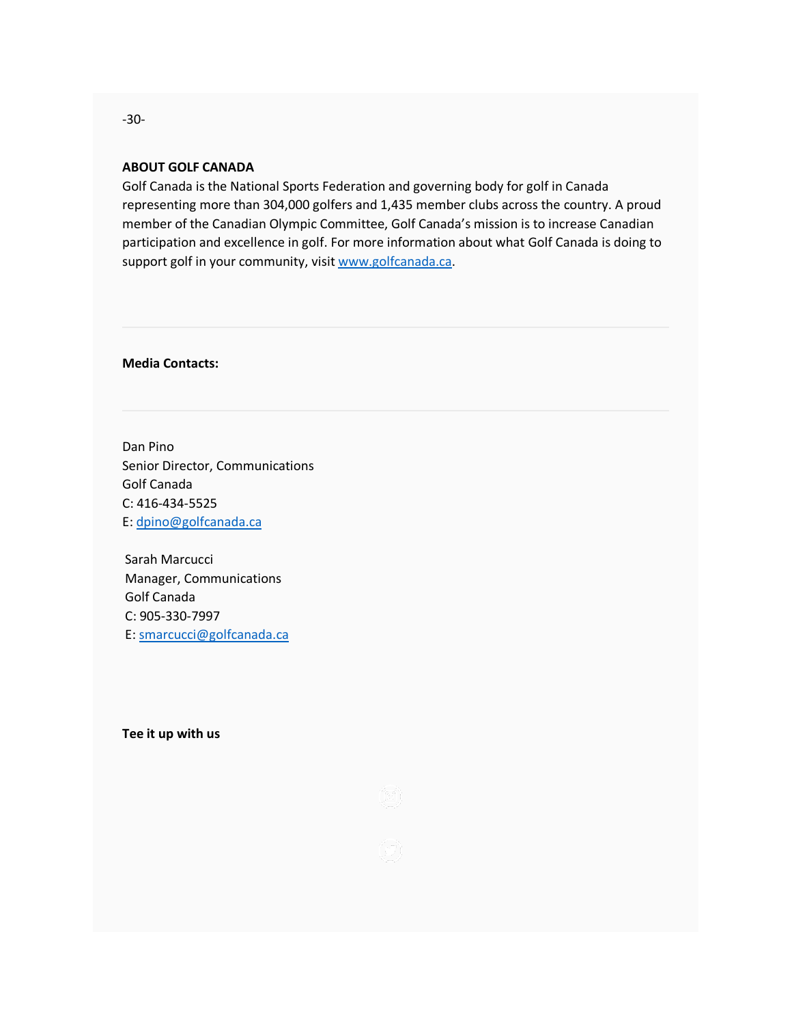## **ABOUT GOLF CANADA**

Golf Canada is the National Sports Federation and governing body for golf in Canada representing more than 304,000 golfers and 1,435 member clubs across the country. A proud member of the Canadian Olympic Committee, Golf Canada's mission is to increase Canadian participation and excellence in golf. For more information about what Golf Canada is doing to support golf in your community, visit [www.golfcanada.ca.](https://golfcanada.us6.list-manage.com/track/click?u=2d5091f846f3023c263bbdbec&id=f6f2e81025&e=73a37d8096)

**Media Contacts:**

Dan Pino Senior Director, Communications Golf Canada C: 416-434-5525 E: [dpino@golfcanada.ca](mailto:dpino@golfcanada.ca)

Sarah Marcucci Manager, Communications Golf Canada C: 905-330-7997 E: [smarcucci@golfcanada.ca](mailto:smarcucci@golfcanada.ca)

**Tee it up with us**



-30-